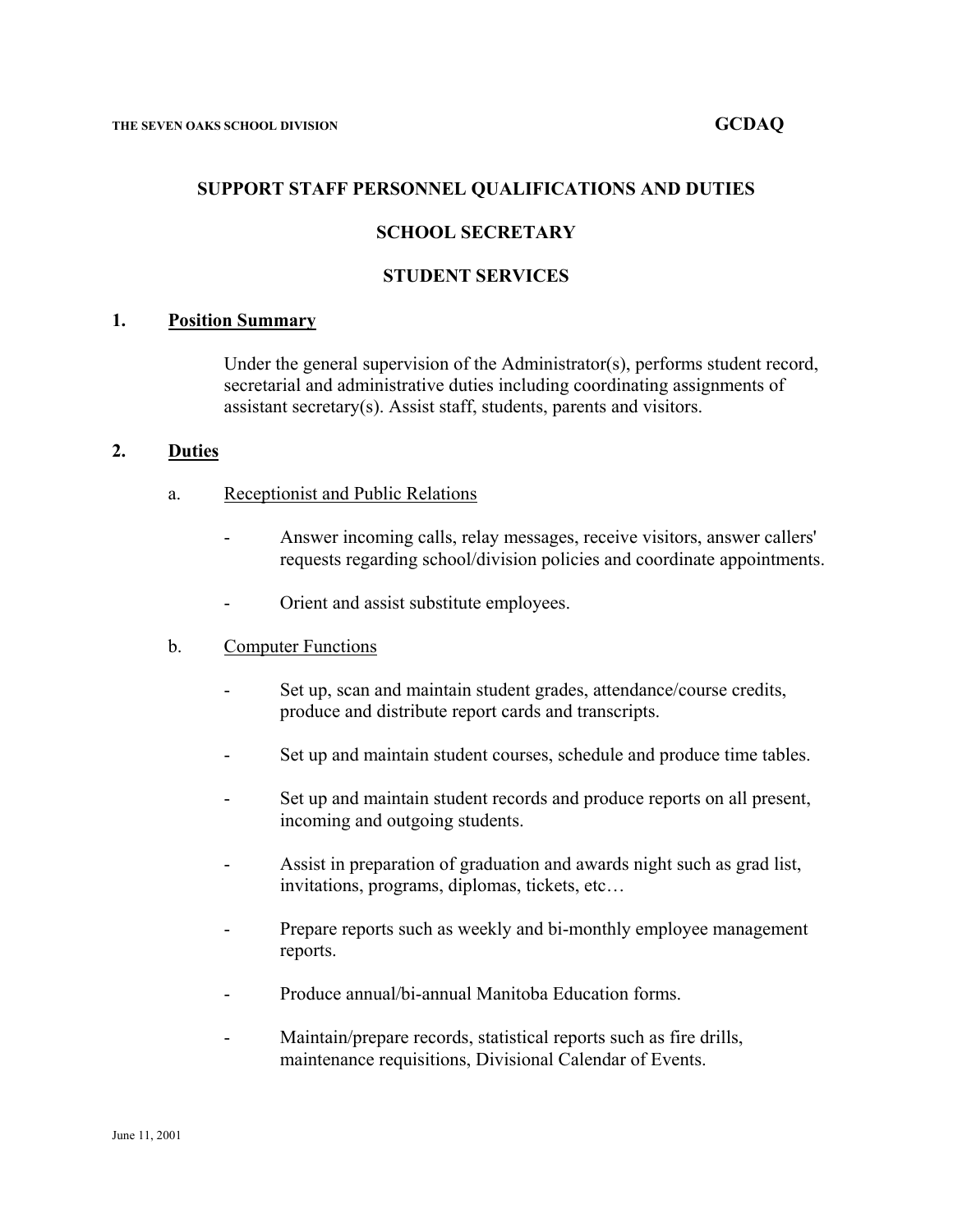#### **SUPPORT STAFF PERSONNEL QUALIFICATIONS AND DUTIES**

# **SCHOOL SECRETARY**

### **STUDENT SERVICES**

#### **1. Position Summary**

Under the general supervision of the Administrator(s), performs student record, secretarial and administrative duties including coordinating assignments of assistant secretary(s). Assist staff, students, parents and visitors.

#### **2. Duties**

- a. Receptionist and Public Relations
	- Answer incoming calls, relay messages, receive visitors, answer callers' requests regarding school/division policies and coordinate appointments.
	- Orient and assist substitute employees.

#### b. Computer Functions

- Set up, scan and maintain student grades, attendance/course credits, produce and distribute report cards and transcripts.
- Set up and maintain student courses, schedule and produce time tables.
- Set up and maintain student records and produce reports on all present, incoming and outgoing students.
- Assist in preparation of graduation and awards night such as grad list, invitations, programs, diplomas, tickets, etc…
- Prepare reports such as weekly and bi-monthly employee management reports.
- Produce annual/bi-annual Manitoba Education forms.
- Maintain/prepare records, statistical reports such as fire drills, maintenance requisitions, Divisional Calendar of Events.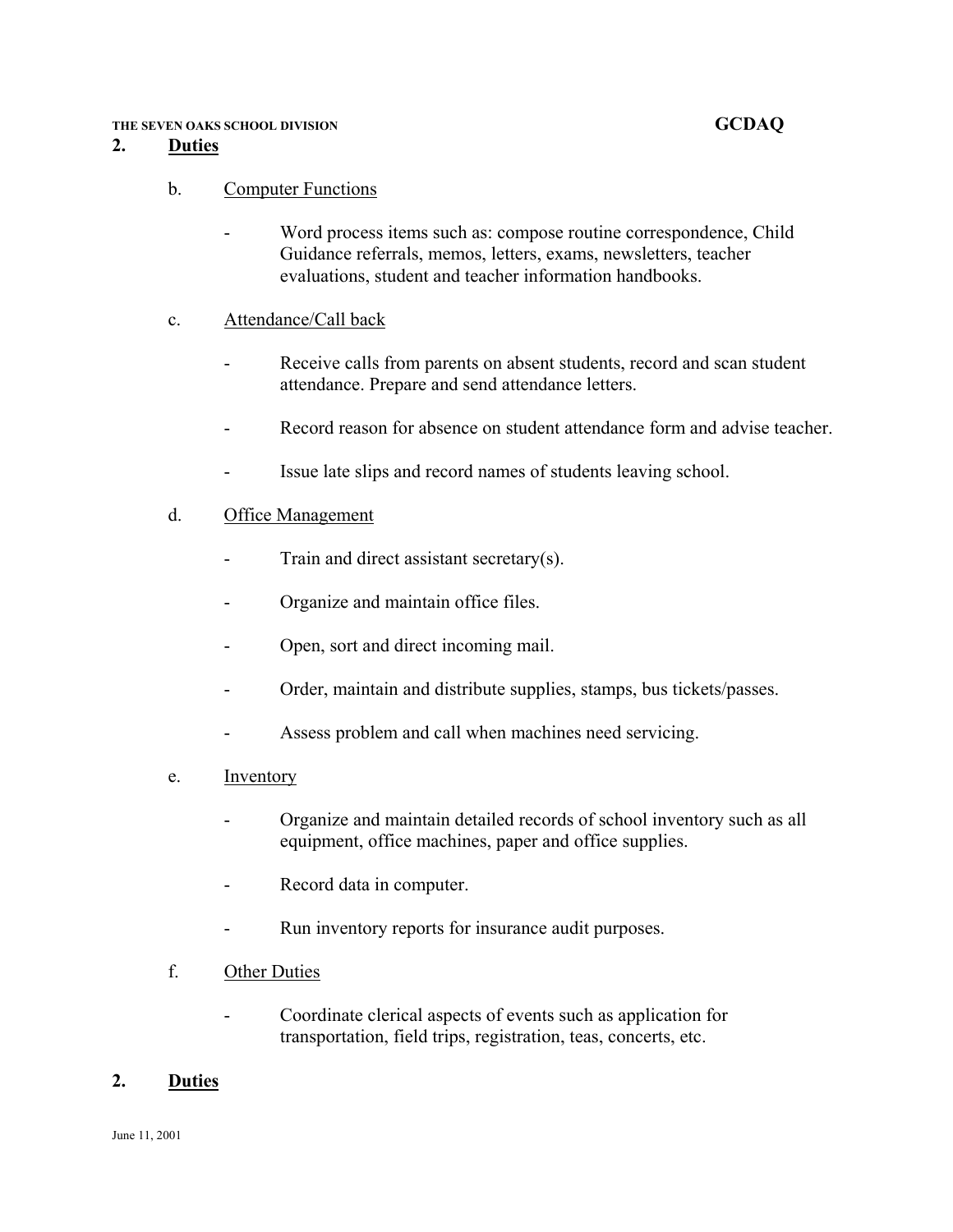### **2. Duties**

# b. Computer Functions

Word process items such as: compose routine correspondence, Child Guidance referrals, memos, letters, exams, newsletters, teacher evaluations, student and teacher information handbooks.

# c. Attendance/Call back

- Receive calls from parents on absent students, record and scan student attendance. Prepare and send attendance letters.
- Record reason for absence on student attendance form and advise teacher.
- Issue late slips and record names of students leaving school.

# d. Office Management

- Train and direct assistant secretary $(s)$ .
- Organize and maintain office files.
- Open, sort and direct incoming mail.
- Order, maintain and distribute supplies, stamps, bus tickets/passes.
- Assess problem and call when machines need servicing.
- e. Inventory
	- Organize and maintain detailed records of school inventory such as all equipment, office machines, paper and office supplies.
	- Record data in computer.
	- Run inventory reports for insurance audit purposes.
- f. Other Duties
	- Coordinate clerical aspects of events such as application for transportation, field trips, registration, teas, concerts, etc.

# **2. Duties**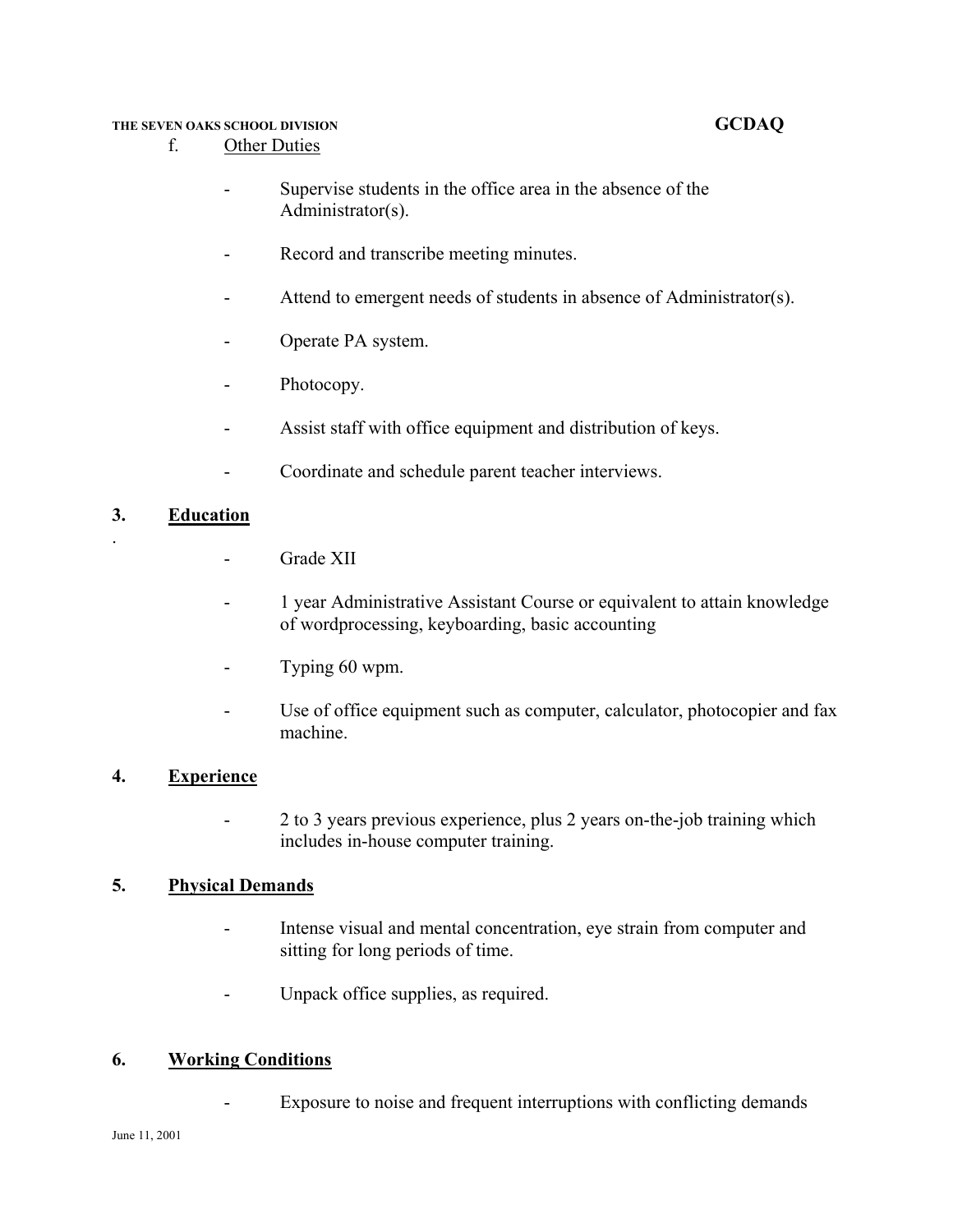- f. Other Duties
	- Supervise students in the office area in the absence of the Administrator(s).
	- Record and transcribe meeting minutes.
	- Attend to emergent needs of students in absence of Administrator(s).
	- Operate PA system.
	- Photocopy.
	- Assist staff with office equipment and distribution of keys.
	- Coordinate and schedule parent teacher interviews.

# **3. Education**

.

- Grade XII
- 1 year Administrative Assistant Course or equivalent to attain knowledge of wordprocessing, keyboarding, basic accounting
- Typing 60 wpm.
- Use of office equipment such as computer, calculator, photocopier and fax machine.

# **4. Experience**

- 2 to 3 years previous experience, plus 2 years on-the-job training which includes in-house computer training.

# **5. Physical Demands**

- Intense visual and mental concentration, eye strain from computer and sitting for long periods of time.
- Unpack office supplies, as required.

# **6. Working Conditions**

- Exposure to noise and frequent interruptions with conflicting demands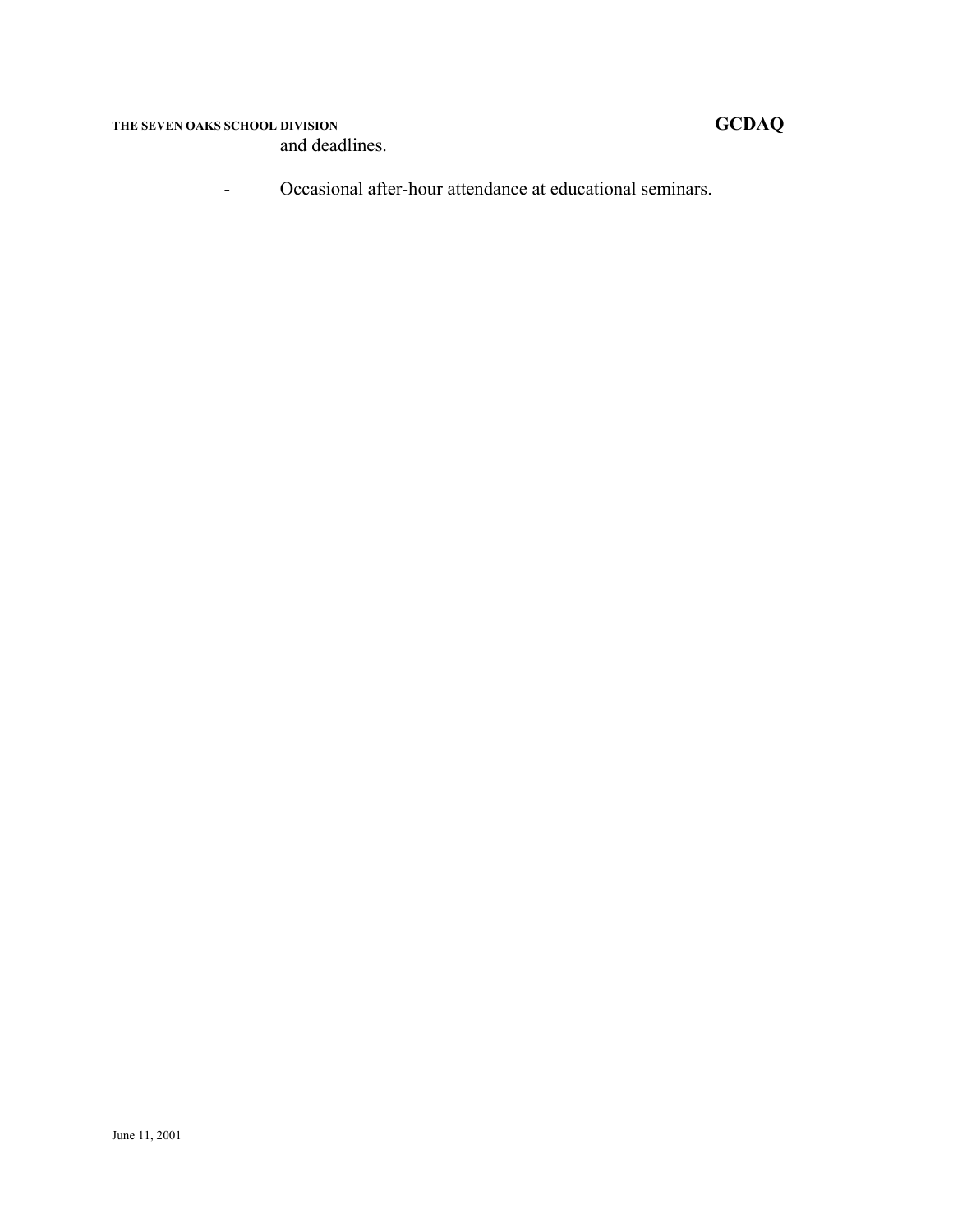and deadlines.

- Occasional after-hour attendance at educational seminars.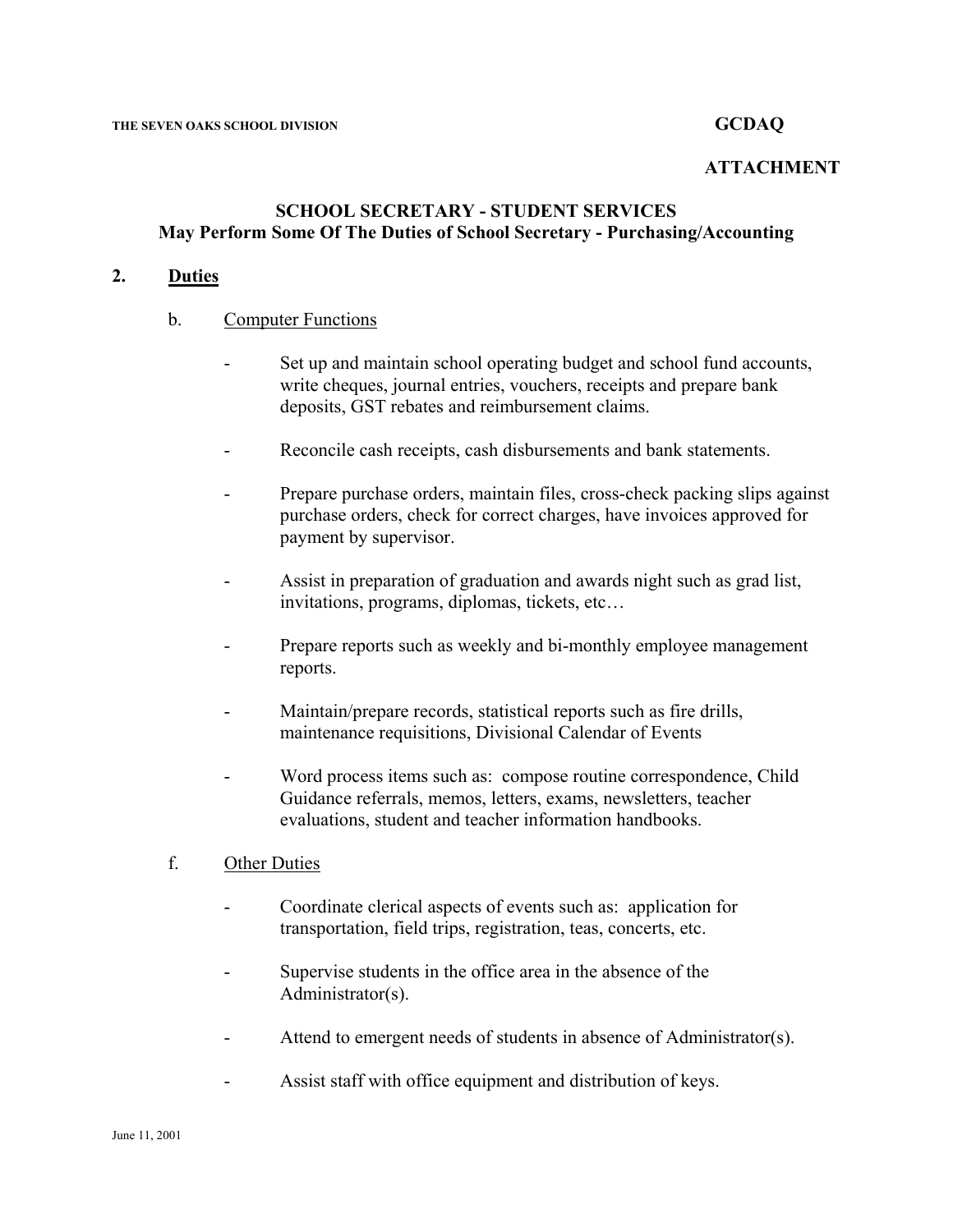### **ATTACHMENT**

# **SCHOOL SECRETARY - STUDENT SERVICES May Perform Some Of The Duties of School Secretary - Purchasing/Accounting**

# **2. Duties**

#### b. Computer Functions

- Set up and maintain school operating budget and school fund accounts, write cheques, journal entries, vouchers, receipts and prepare bank deposits, GST rebates and reimbursement claims.
- Reconcile cash receipts, cash disbursements and bank statements.
- Prepare purchase orders, maintain files, cross-check packing slips against purchase orders, check for correct charges, have invoices approved for payment by supervisor.
- Assist in preparation of graduation and awards night such as grad list, invitations, programs, diplomas, tickets, etc…
- Prepare reports such as weekly and bi-monthly employee management reports.
- Maintain/prepare records, statistical reports such as fire drills, maintenance requisitions, Divisional Calendar of Events
- Word process items such as: compose routine correspondence, Child Guidance referrals, memos, letters, exams, newsletters, teacher evaluations, student and teacher information handbooks.
- f. Other Duties
	- Coordinate clerical aspects of events such as: application for transportation, field trips, registration, teas, concerts, etc.
	- Supervise students in the office area in the absence of the Administrator(s).
	- Attend to emergent needs of students in absence of Administrator(s).
	- Assist staff with office equipment and distribution of keys.